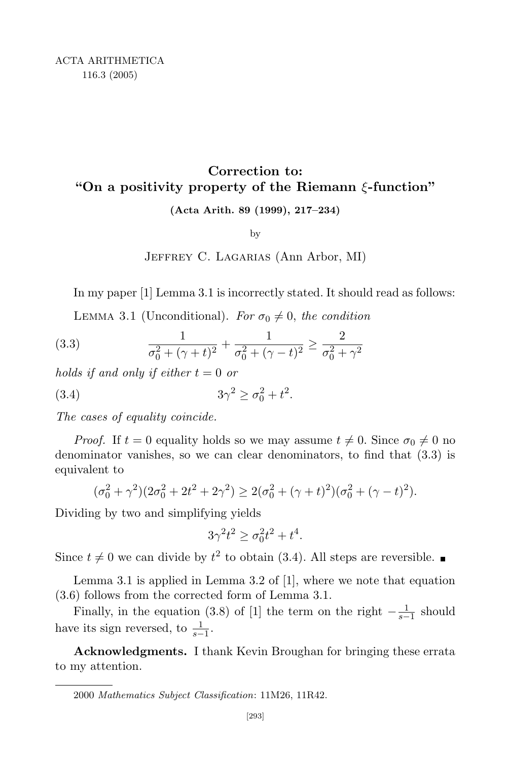## **Correction to: "On a positivity property of the Riemann** *ξ***-function"**

**(Acta Arith. 89 (1999), 217–234)**

by

## Jeffrey C. Lagarias (Ann Arbor, MI)

In my paper [1] Lemma 3.1 is incorrectly stated. It should read as follows:

LEMMA 3.1 (Unconditional). *For*  $\sigma_0 \neq 0$ , *the condition* 

(3.3) 
$$
\frac{1}{\sigma_0^2 + (\gamma + t)^2} + \frac{1}{\sigma_0^2 + (\gamma - t)^2} \ge \frac{2}{\sigma_0^2 + \gamma^2}
$$

*holds if and only if either t* = 0 *or*

(3.4) 
$$
3\gamma^2 \ge \sigma_0^2 + t^2.
$$

*The cases of equality coincide.*

*Proof.* If  $t = 0$  equality holds so we may assume  $t \neq 0$ . Since  $\sigma_0 \neq 0$  no denominator vanishes, so we can clear denominators, to find that (3.3) is equivalent to

$$
(\sigma_0^2 + \gamma^2)(2\sigma_0^2 + 2t^2 + 2\gamma^2) \ge 2(\sigma_0^2 + (\gamma + t)^2)(\sigma_0^2 + (\gamma - t)^2).
$$

Dividing by two and simplifying yields

$$
3\gamma^2 t^2 \ge \sigma_0^2 t^2 + t^4.
$$

Since  $t \neq 0$  we can divide by  $t^2$  to obtain (3.4). All steps are reversible.

Lemma 3.1 is applied in Lemma 3.2 of [1], where we note that equation (3.6) follows from the corrected form of Lemma 3.1.

Finally, in the equation (3.8) of [1] the term on the right  $-\frac{1}{s-1}$  $\frac{1}{s-1}$  should have its sign reversed, to  $\frac{1}{s-1}$ .

**Acknowledgments.** I thank Kevin Broughan for bringing these errata to my attention.

<sup>2000</sup> *Mathematics Subject Classification*: 11M26, 11R42.